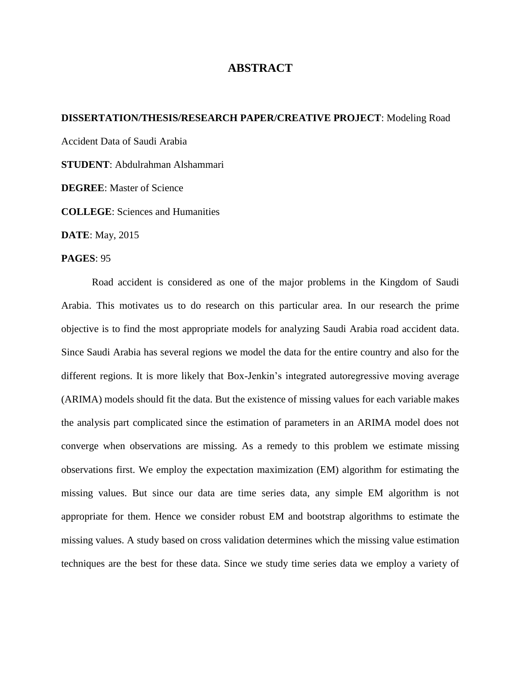## **ABSTRACT**

## **DISSERTATION/THESIS/RESEARCH PAPER/CREATIVE PROJECT**: Modeling Road

Accident Data of Saudi Arabia

**STUDENT**: Abdulrahman Alshammari

**DEGREE**: Master of Science

**COLLEGE**: Sciences and Humanities

**DATE**: May, 2015

## **PAGES**: 95

Road accident is considered as one of the major problems in the Kingdom of Saudi Arabia. This motivates us to do research on this particular area. In our research the prime objective is to find the most appropriate models for analyzing Saudi Arabia road accident data. Since Saudi Arabia has several regions we model the data for the entire country and also for the different regions. It is more likely that Box-Jenkin's integrated autoregressive moving average (ARIMA) models should fit the data. But the existence of missing values for each variable makes the analysis part complicated since the estimation of parameters in an ARIMA model does not converge when observations are missing. As a remedy to this problem we estimate missing observations first. We employ the expectation maximization (EM) algorithm for estimating the missing values. But since our data are time series data, any simple EM algorithm is not appropriate for them. Hence we consider robust EM and bootstrap algorithms to estimate the missing values. A study based on cross validation determines which the missing value estimation techniques are the best for these data. Since we study time series data we employ a variety of